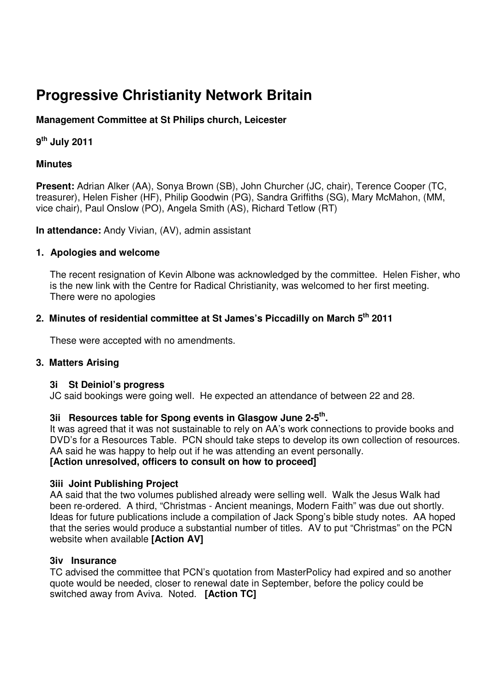# **Progressive Christianity Network Britain**

# **Management Committee at St Philips church, Leicester**

# **9 th July 2011**

# **Minutes**

**Present:** Adrian Alker (AA), Sonya Brown (SB), John Churcher (JC, chair), Terence Cooper (TC, treasurer), Helen Fisher (HF), Philip Goodwin (PG), Sandra Griffiths (SG), Mary McMahon, (MM, vice chair), Paul Onslow (PO), Angela Smith (AS), Richard Tetlow (RT)

**In attendance:** Andy Vivian, (AV), admin assistant

# **1. Apologies and welcome**

The recent resignation of Kevin Albone was acknowledged by the committee. Helen Fisher, who is the new link with the Centre for Radical Christianity, was welcomed to her first meeting. There were no apologies

# **2. Minutes of residential committee at St James's Piccadilly on March 5th 2011**

These were accepted with no amendments.

# **3. Matters Arising**

# **3i St Deiniol's progress**

JC said bookings were going well. He expected an attendance of between 22 and 28.

# **3ii Resources table for Spong events in Glasgow June 2-5th .**

It was agreed that it was not sustainable to rely on AA's work connections to provide books and DVD's for a Resources Table. PCN should take steps to develop its own collection of resources. AA said he was happy to help out if he was attending an event personally. **[Action unresolved, officers to consult on how to proceed]** 

# **3iii Joint Publishing Project**

AA said that the two volumes published already were selling well. Walk the Jesus Walk had been re-ordered. A third, "Christmas - Ancient meanings, Modern Faith" was due out shortly. Ideas for future publications include a compilation of Jack Spong's bible study notes. AA hoped that the series would produce a substantial number of titles. AV to put "Christmas" on the PCN website when available **[Action AV]** 

# **3iv Insurance**

TC advised the committee that PCN's quotation from MasterPolicy had expired and so another quote would be needed, closer to renewal date in September, before the policy could be switched away from Aviva. Noted. **[Action TC]**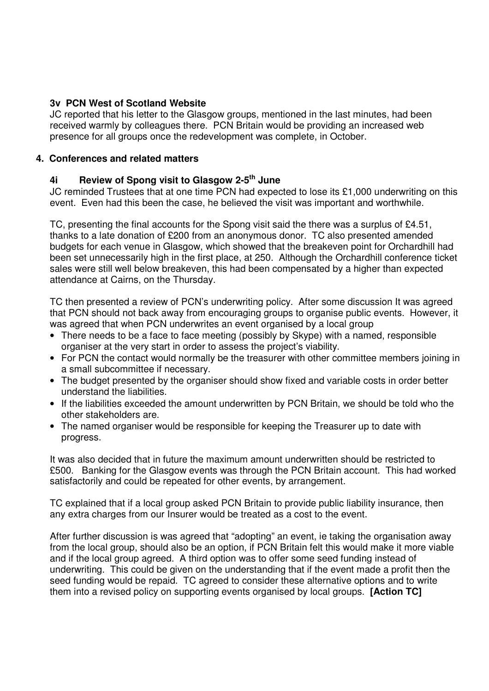# **3v PCN West of Scotland Website**

JC reported that his letter to the Glasgow groups, mentioned in the last minutes, had been received warmly by colleagues there. PCN Britain would be providing an increased web presence for all groups once the redevelopment was complete, in October.

# **4. Conferences and related matters**

# **4i Review of Spong visit to Glasgow 2-5th June**

JC reminded Trustees that at one time PCN had expected to lose its £1,000 underwriting on this event. Even had this been the case, he believed the visit was important and worthwhile.

TC, presenting the final accounts for the Spong visit said the there was a surplus of £4.51, thanks to a late donation of £200 from an anonymous donor. TC also presented amended budgets for each venue in Glasgow, which showed that the breakeven point for Orchardhill had been set unnecessarily high in the first place, at 250. Although the Orchardhill conference ticket sales were still well below breakeven, this had been compensated by a higher than expected attendance at Cairns, on the Thursday.

TC then presented a review of PCN's underwriting policy. After some discussion It was agreed that PCN should not back away from encouraging groups to organise public events. However, it was agreed that when PCN underwrites an event organised by a local group

- There needs to be a face to face meeting (possibly by Skype) with a named, responsible organiser at the very start in order to assess the project's viability.
- For PCN the contact would normally be the treasurer with other committee members joining in a small subcommittee if necessary.
- The budget presented by the organiser should show fixed and variable costs in order better understand the liabilities.
- If the liabilities exceeded the amount underwritten by PCN Britain, we should be told who the other stakeholders are.
- The named organiser would be responsible for keeping the Treasurer up to date with progress.

It was also decided that in future the maximum amount underwritten should be restricted to £500. Banking for the Glasgow events was through the PCN Britain account. This had worked satisfactorily and could be repeated for other events, by arrangement.

TC explained that if a local group asked PCN Britain to provide public liability insurance, then any extra charges from our Insurer would be treated as a cost to the event.

After further discussion is was agreed that "adopting" an event, ie taking the organisation away from the local group, should also be an option, if PCN Britain felt this would make it more viable and if the local group agreed. A third option was to offer some seed funding instead of underwriting. This could be given on the understanding that if the event made a profit then the seed funding would be repaid. TC agreed to consider these alternative options and to write them into a revised policy on supporting events organised by local groups. **[Action TC]**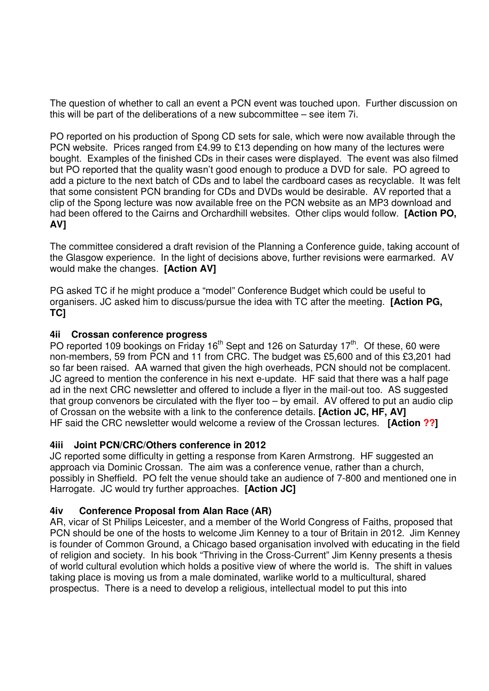The question of whether to call an event a PCN event was touched upon. Further discussion on this will be part of the deliberations of a new subcommittee – see item 7i.

PO reported on his production of Spong CD sets for sale, which were now available through the PCN website. Prices ranged from £4.99 to £13 depending on how many of the lectures were bought. Examples of the finished CDs in their cases were displayed. The event was also filmed but PO reported that the quality wasn't good enough to produce a DVD for sale. PO agreed to add a picture to the next batch of CDs and to label the cardboard cases as recyclable. It was felt that some consistent PCN branding for CDs and DVDs would be desirable. AV reported that a clip of the Spong lecture was now available free on the PCN website as an MP3 download and had been offered to the Cairns and Orchardhill websites. Other clips would follow. **[Action PO, AV]** 

The committee considered a draft revision of the Planning a Conference guide, taking account of the Glasgow experience. In the light of decisions above, further revisions were earmarked. AV would make the changes. **[Action AV]** 

PG asked TC if he might produce a "model" Conference Budget which could be useful to organisers. JC asked him to discuss/pursue the idea with TC after the meeting. **[Action PG, TC]** 

# **4ii Crossan conference progress**

PO reported 109 bookings on Friday  $16<sup>th</sup>$  Sept and 126 on Saturday 17<sup>th</sup>. Of these, 60 were non-members, 59 from PCN and 11 from CRC. The budget was £5,600 and of this £3,201 had so far been raised. AA warned that given the high overheads, PCN should not be complacent. JC agreed to mention the conference in his next e-update. HF said that there was a half page ad in the next CRC newsletter and offered to include a flyer in the mail-out too. AS suggested that group convenors be circulated with the flyer too – by email. AV offered to put an audio clip of Crossan on the website with a link to the conference details. **[Action JC, HF, AV]**  HF said the CRC newsletter would welcome a review of the Crossan lectures. **[Action ??]** 

# **4iii Joint PCN/CRC/Others conference in 2012**

JC reported some difficulty in getting a response from Karen Armstrong. HF suggested an approach via Dominic Crossan. The aim was a conference venue, rather than a church, possibly in Sheffield. PO felt the venue should take an audience of 7-800 and mentioned one in Harrogate. JC would try further approaches. **[Action JC]** 

# **4iv Conference Proposal from Alan Race (AR)**

AR, vicar of St Philips Leicester, and a member of the World Congress of Faiths, proposed that PCN should be one of the hosts to welcome Jim Kenney to a tour of Britain in 2012. Jim Kenney is founder of Common Ground, a Chicago based organisation involved with educating in the field of religion and society. In his book "Thriving in the Cross-Current" Jim Kenny presents a thesis of world cultural evolution which holds a positive view of where the world is. The shift in values taking place is moving us from a male dominated, warlike world to a multicultural, shared prospectus. There is a need to develop a religious, intellectual model to put this into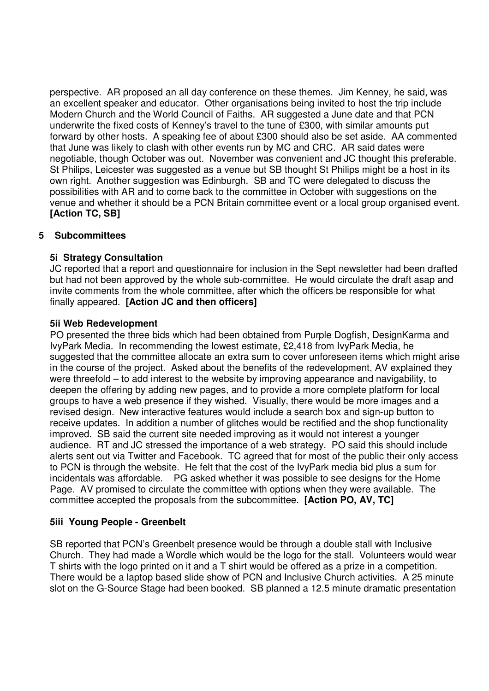perspective. AR proposed an all day conference on these themes. Jim Kenney, he said, was an excellent speaker and educator. Other organisations being invited to host the trip include Modern Church and the World Council of Faiths. AR suggested a June date and that PCN underwrite the fixed costs of Kenney's travel to the tune of £300, with similar amounts put forward by other hosts. A speaking fee of about £300 should also be set aside. AA commented that June was likely to clash with other events run by MC and CRC. AR said dates were negotiable, though October was out. November was convenient and JC thought this preferable. St Philips, Leicester was suggested as a venue but SB thought St Philips might be a host in its own right. Another suggestion was Edinburgh. SB and TC were delegated to discuss the possibilities with AR and to come back to the committee in October with suggestions on the venue and whether it should be a PCN Britain committee event or a local group organised event. **[Action TC, SB]** 

# **5 Subcommittees**

# **5i Strategy Consultation**

JC reported that a report and questionnaire for inclusion in the Sept newsletter had been drafted but had not been approved by the whole sub-committee. He would circulate the draft asap and invite comments from the whole committee, after which the officers be responsible for what finally appeared. **[Action JC and then officers]** 

# **5ii Web Redevelopment**

PO presented the three bids which had been obtained from Purple Dogfish, DesignKarma and IvyPark Media. In recommending the lowest estimate, £2,418 from IvyPark Media, he suggested that the committee allocate an extra sum to cover unforeseen items which might arise in the course of the project. Asked about the benefits of the redevelopment, AV explained they were threefold – to add interest to the website by improving appearance and navigability, to deepen the offering by adding new pages, and to provide a more complete platform for local groups to have a web presence if they wished. Visually, there would be more images and a revised design. New interactive features would include a search box and sign-up button to receive updates. In addition a number of glitches would be rectified and the shop functionality improved. SB said the current site needed improving as it would not interest a younger audience. RT and JC stressed the importance of a web strategy. PO said this should include alerts sent out via Twitter and Facebook. TC agreed that for most of the public their only access to PCN is through the website. He felt that the cost of the IvyPark media bid plus a sum for incidentals was affordable. PG asked whether it was possible to see designs for the Home Page. AV promised to circulate the committee with options when they were available. The committee accepted the proposals from the subcommittee. **[Action PO, AV, TC]** 

# **5iii Young People - Greenbelt**

SB reported that PCN's Greenbelt presence would be through a double stall with Inclusive Church. They had made a Wordle which would be the logo for the stall. Volunteers would wear T shirts with the logo printed on it and a T shirt would be offered as a prize in a competition. There would be a laptop based slide show of PCN and Inclusive Church activities. A 25 minute slot on the G-Source Stage had been booked. SB planned a 12.5 minute dramatic presentation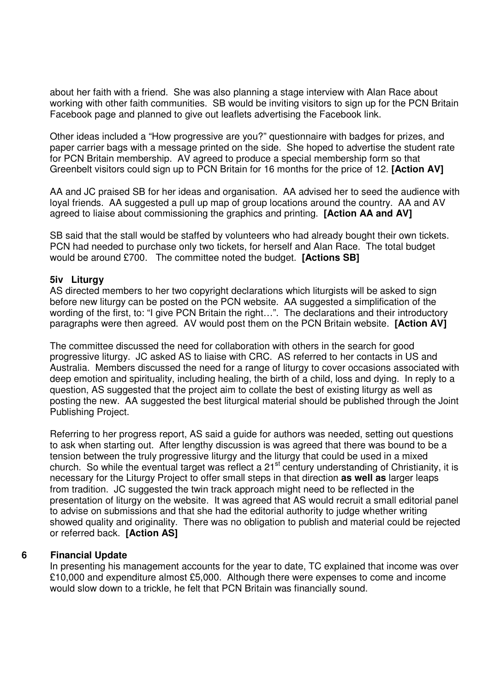about her faith with a friend. She was also planning a stage interview with Alan Race about working with other faith communities. SB would be inviting visitors to sign up for the PCN Britain Facebook page and planned to give out leaflets advertising the Facebook link.

Other ideas included a "How progressive are you?" questionnaire with badges for prizes, and paper carrier bags with a message printed on the side. She hoped to advertise the student rate for PCN Britain membership. AV agreed to produce a special membership form so that Greenbelt visitors could sign up to PCN Britain for 16 months for the price of 12. **[Action AV]** 

AA and JC praised SB for her ideas and organisation. AA advised her to seed the audience with loyal friends. AA suggested a pull up map of group locations around the country. AA and AV agreed to liaise about commissioning the graphics and printing. **[Action AA and AV]** 

SB said that the stall would be staffed by volunteers who had already bought their own tickets. PCN had needed to purchase only two tickets, for herself and Alan Race. The total budget would be around £700. The committee noted the budget. **[Actions SB]** 

#### **5iv Liturgy**

AS directed members to her two copyright declarations which liturgists will be asked to sign before new liturgy can be posted on the PCN website. AA suggested a simplification of the wording of the first, to: "I give PCN Britain the right…". The declarations and their introductory paragraphs were then agreed. AV would post them on the PCN Britain website. **[Action AV]** 

The committee discussed the need for collaboration with others in the search for good progressive liturgy. JC asked AS to liaise with CRC. AS referred to her contacts in US and Australia. Members discussed the need for a range of liturgy to cover occasions associated with deep emotion and spirituality, including healing, the birth of a child, loss and dying. In reply to a question, AS suggested that the project aim to collate the best of existing liturgy as well as posting the new. AA suggested the best liturgical material should be published through the Joint Publishing Project.

Referring to her progress report, AS said a guide for authors was needed, setting out questions to ask when starting out. After lengthy discussion is was agreed that there was bound to be a tension between the truly progressive liturgy and the liturgy that could be used in a mixed church. So while the eventual target was reflect a 21<sup>st</sup> century understanding of Christianity, it is necessary for the Liturgy Project to offer small steps in that direction **as well as** larger leaps from tradition. JC suggested the twin track approach might need to be reflected in the presentation of liturgy on the website. It was agreed that AS would recruit a small editorial panel to advise on submissions and that she had the editorial authority to judge whether writing showed quality and originality. There was no obligation to publish and material could be rejected or referred back. **[Action AS]** 

#### **6 Financial Update**

In presenting his management accounts for the year to date, TC explained that income was over £10,000 and expenditure almost £5,000. Although there were expenses to come and income would slow down to a trickle, he felt that PCN Britain was financially sound.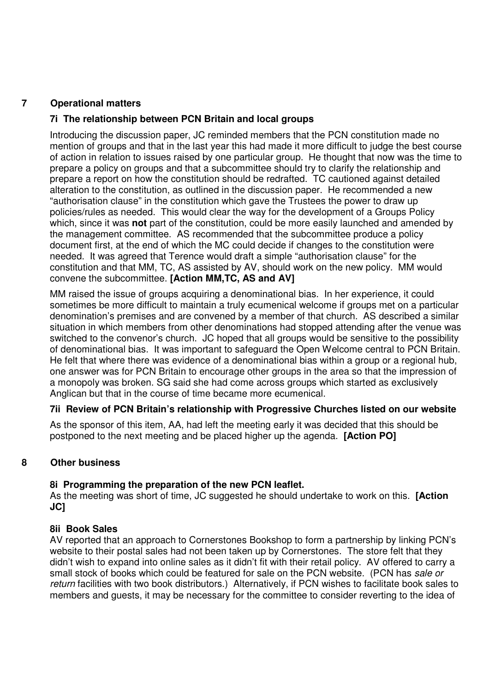# **7 Operational matters**

# **7i The relationship between PCN Britain and local groups**

Introducing the discussion paper, JC reminded members that the PCN constitution made no mention of groups and that in the last year this had made it more difficult to judge the best course of action in relation to issues raised by one particular group. He thought that now was the time to prepare a policy on groups and that a subcommittee should try to clarify the relationship and prepare a report on how the constitution should be redrafted. TC cautioned against detailed alteration to the constitution, as outlined in the discussion paper. He recommended a new "authorisation clause" in the constitution which gave the Trustees the power to draw up policies/rules as needed. This would clear the way for the development of a Groups Policy which, since it was **not** part of the constitution, could be more easily launched and amended by the management committee. AS recommended that the subcommittee produce a policy document first, at the end of which the MC could decide if changes to the constitution were needed. It was agreed that Terence would draft a simple "authorisation clause" for the constitution and that MM, TC, AS assisted by AV, should work on the new policy. MM would convene the subcommittee. **[Action MM,TC, AS and AV]** 

MM raised the issue of groups acquiring a denominational bias. In her experience, it could sometimes be more difficult to maintain a truly ecumenical welcome if groups met on a particular denomination's premises and are convened by a member of that church. AS described a similar situation in which members from other denominations had stopped attending after the venue was switched to the convenor's church. JC hoped that all groups would be sensitive to the possibility of denominational bias. It was important to safeguard the Open Welcome central to PCN Britain. He felt that where there was evidence of a denominational bias within a group or a regional hub, one answer was for PCN Britain to encourage other groups in the area so that the impression of a monopoly was broken. SG said she had come across groups which started as exclusively Anglican but that in the course of time became more ecumenical.

# **7ii Review of PCN Britain's relationship with Progressive Churches listed on our website**

As the sponsor of this item, AA, had left the meeting early it was decided that this should be postponed to the next meeting and be placed higher up the agenda. **[Action PO]**

# **8 Other business**

# **8i Programming the preparation of the new PCN leaflet.**

As the meeting was short of time, JC suggested he should undertake to work on this. **[Action JC]** 

# **8ii Book Sales**

AV reported that an approach to Cornerstones Bookshop to form a partnership by linking PCN's website to their postal sales had not been taken up by Cornerstones. The store felt that they didn't wish to expand into online sales as it didn't fit with their retail policy. AV offered to carry a small stock of books which could be featured for sale on the PCN website. (PCN has sale or return facilities with two book distributors.) Alternatively, if PCN wishes to facilitate book sales to members and guests, it may be necessary for the committee to consider reverting to the idea of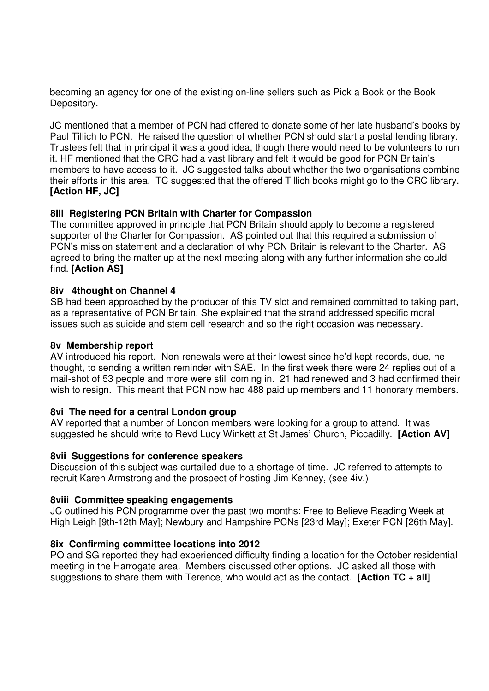becoming an agency for one of the existing on-line sellers such as Pick a Book or the Book Depository.

JC mentioned that a member of PCN had offered to donate some of her late husband's books by Paul Tillich to PCN. He raised the question of whether PCN should start a postal lending library. Trustees felt that in principal it was a good idea, though there would need to be volunteers to run it. HF mentioned that the CRC had a vast library and felt it would be good for PCN Britain's members to have access to it. JC suggested talks about whether the two organisations combine their efforts in this area. TC suggested that the offered Tillich books might go to the CRC library. **[Action HF, JC]** 

# **8iii Registering PCN Britain with Charter for Compassion**

The committee approved in principle that PCN Britain should apply to become a registered supporter of the Charter for Compassion. AS pointed out that this required a submission of PCN's mission statement and a declaration of why PCN Britain is relevant to the Charter. AS agreed to bring the matter up at the next meeting along with any further information she could find. **[Action AS]** 

# **8iv 4thought on Channel 4**

SB had been approached by the producer of this TV slot and remained committed to taking part, as a representative of PCN Britain. She explained that the strand addressed specific moral issues such as suicide and stem cell research and so the right occasion was necessary.

### **8v Membership report**

AV introduced his report. Non-renewals were at their lowest since he'd kept records, due, he thought, to sending a written reminder with SAE. In the first week there were 24 replies out of a mail-shot of 53 people and more were still coming in. 21 had renewed and 3 had confirmed their wish to resign. This meant that PCN now had 488 paid up members and 11 honorary members.

# **8vi The need for a central London group**

AV reported that a number of London members were looking for a group to attend. It was suggested he should write to Revd Lucy Winkett at St James' Church, Piccadilly. **[Action AV]** 

#### **8vii Suggestions for conference speakers**

Discussion of this subject was curtailed due to a shortage of time. JC referred to attempts to recruit Karen Armstrong and the prospect of hosting Jim Kenney, (see 4iv.)

#### **8viii Committee speaking engagements**

JC outlined his PCN programme over the past two months: Free to Believe Reading Week at High Leigh [9th-12th May]; Newbury and Hampshire PCNs [23rd May]; Exeter PCN [26th May].

#### **8ix Confirming committee locations into 2012**

PO and SG reported they had experienced difficulty finding a location for the October residential meeting in the Harrogate area. Members discussed other options. JC asked all those with suggestions to share them with Terence, who would act as the contact. **[Action TC + all]**